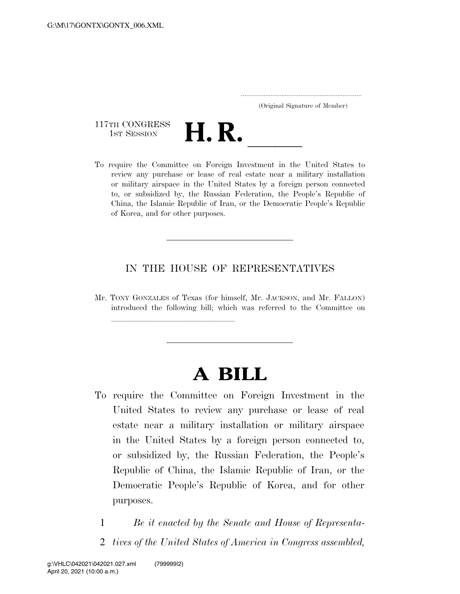..................................................................... (Original Signature of Member)

117TH CONGRESS<br>1st Session 117TH CONGRESS<br>1st SESSION<br>To require the Committee on Foreign Investment in the United States to

llland and a state of the state of the state of the state of the state of the state of the state of the state o<br>State of the state of the state of the state of the state of the state of the state of the state of the state

review any purchase or lease of real estate near a military installation or military airspace in the United States by a foreign person connected to, or subsidized by, the Russian Federation, the People's Republic of China, the Islamic Republic of Iran, or the Democratic People's Republic of Korea, and for other purposes.

## IN THE HOUSE OF REPRESENTATIVES

Mr. TONY GONZALES of Texas (for himself, Mr. JACKSON, and Mr. FALLON) introduced the following bill; which was referred to the Committee on

## **A BILL**

- To require the Committee on Foreign Investment in the United States to review any purchase or lease of real estate near a military installation or military airspace in the United States by a foreign person connected to, or subsidized by, the Russian Federation, the People's Republic of China, the Islamic Republic of Iran, or the Democratic People's Republic of Korea, and for other purposes.
	- 1 *Be it enacted by the Senate and House of Representa-*
	- 2 *tives of the United States of America in Congress assembled,*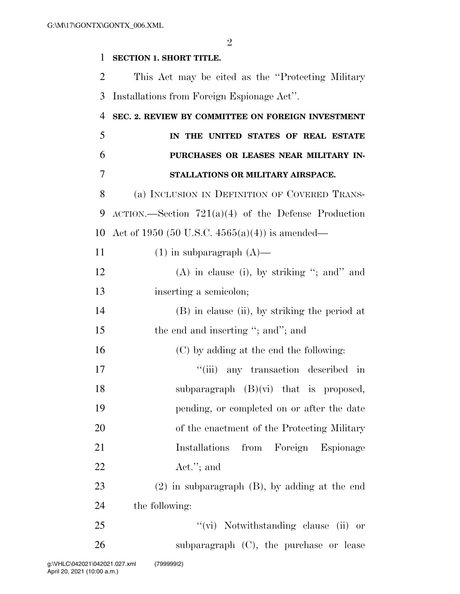## **SECTION 1. SHORT TITLE.**

 This Act may be cited as the ''Protecting Military Installations from Foreign Espionage Act''.

| $\overline{4}$ | SEC. 2. REVIEW BY COMMITTEE ON FOREIGN INVESTMENT             |
|----------------|---------------------------------------------------------------|
| 5              | IN THE UNITED STATES OF REAL ESTATE                           |
| 6              | PURCHASES OR LEASES NEAR MILITARY IN-                         |
| 7              | STALLATIONS OR MILITARY AIRSPACE.                             |
| 8              | (a) INCLUSION IN DEFINITION OF COVERED TRANS-                 |
| 9              | $\text{ACTION.}$ —Section 721(a)(4) of the Defense Production |
| 10             | Act of 1950 (50 U.S.C. $4565(a)(4)$ ) is amended—             |
| 11             | $(1)$ in subparagraph $(A)$ —                                 |
| 12             | $(A)$ in clause (i), by striking "; and" and                  |
| 13             | inserting a semicolon;                                        |
| 14             | (B) in clause (ii), by striking the period at                 |
| 15             | the end and inserting "; and"; and                            |
| 16             | (C) by adding at the end the following:                       |
| 17             | "(iii) any transaction described in                           |
| 18             | subparagraph $(B)(vi)$ that is proposed,                      |
| 19             | pending, or completed on or after the date                    |
| 20             | of the enactment of the Protecting Military                   |
| 21             | Installations from Foreign Espionage                          |
| 22             | $\text{Act."};$ and                                           |
| 23             | $(2)$ in subparagraph $(B)$ , by adding at the end            |
| 24             | the following:                                                |
| 25             | "(vi) Notwithstanding clause (ii) or                          |
| 26             | subparagraph $(C)$ , the purchase or lease                    |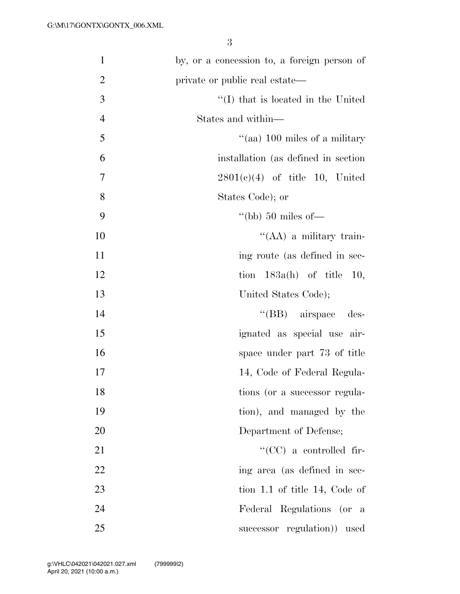| $\mathbf{1}$   | by, or a concession to, a foreign person of |
|----------------|---------------------------------------------|
| $\overline{2}$ | private or public real estate—              |
| $\overline{3}$ | $\lq (I)$ that is located in the United     |
| $\overline{4}$ | States and within—                          |
| 5              | "(aa) $100$ miles of a military             |
| 6              | installation (as defined in section)        |
| $\tau$         | $2801(c)(4)$ of title 10, United            |
| 8              | States Code); or                            |
| 9              | "(bb) $50$ miles of —                       |
| 10             | "( $AA$ ) a military train-                 |
| 11             | ing route (as defined in sec-               |
| 12             | tion $183a(h)$ of title 10,                 |
| 13             | United States Code);                        |
| 14             | $\lq\lq$ (BB) airspace des-                 |
| 15             | ignated as special use air-                 |
| 16             | space under part 73 of title                |
| 17             | 14, Code of Federal Regula-                 |
| 18             | tions (or a successor regula-               |
| 19             | tion), and managed by the                   |
| 20             | Department of Defense;                      |
| 21             | "(CC) a controlled fir-                     |
| 22             | ing area (as defined in sec-                |
| 23             | tion 1.1 of title 14, Code of               |
| 24             | Federal Regulations (or a                   |
| 25             | successor regulation) used                  |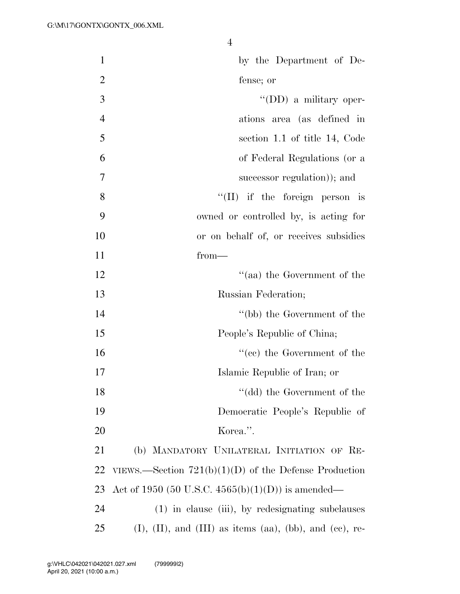| $\mathbf{1}$   | by the Department of De-                                    |
|----------------|-------------------------------------------------------------|
| $\overline{2}$ | fense; or                                                   |
| 3              | $\lq\lq$ (DD) a military oper-                              |
| $\overline{4}$ | ations area (as defined in                                  |
| 5              | section 1.1 of title 14, Code                               |
| 6              | of Federal Regulations (or a                                |
| $\overline{7}$ | successor regulation)); and                                 |
| $8\,$          | $\lq\lq$ (II) if the foreign person is                      |
| 9              | owned or controlled by, is acting for                       |
| 10             | or on behalf of, or receives subsidies                      |
| 11             | $from-$                                                     |
| 12             | "(aa) the Government of the                                 |
| 13             | Russian Federation;                                         |
| 14             | "(bb) the Government of the                                 |
| 15             | People's Republic of China;                                 |
| 16             | $f''(ce)$ the Government of the                             |
| 17             | Islamic Republic of Iran; or                                |
| 18             | "(dd) the Government of the                                 |
| 19             | Democratic People's Republic of                             |
| 20             | Korea.".                                                    |
| 21             | (b) MANDATORY UNILATERAL INITIATION OF RE-                  |
| 22             | VIEWS.—Section $721(b)(1)(D)$ of the Defense Production     |
| 23             | Act of 1950 (50 U.S.C. 4565(b)(1)(D)) is amended—           |
| 24             | (1) in clause (iii), by redesignating subclauses            |
| 25             | $(I), (II),$ and $(III)$ as items (aa), (bb), and (ce), re- |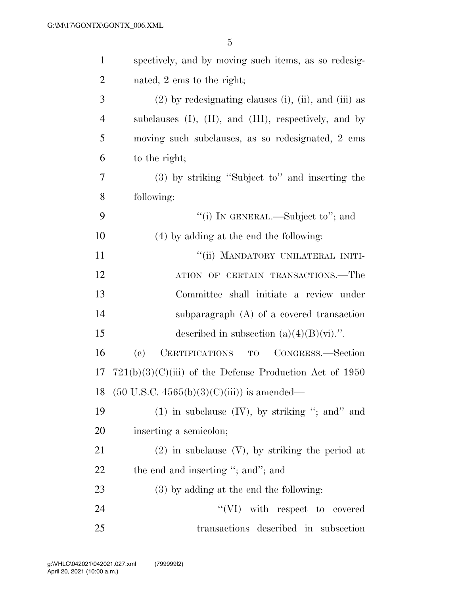| $\mathbf{1}$   | spectively, and by moving such items, as so redesig-                 |
|----------------|----------------------------------------------------------------------|
| $\overline{2}$ | nated, 2 ems to the right;                                           |
| 3              | $(2)$ by redesignating clauses (i), (ii), and (iii) as               |
| 4              | subclauses $(I)$ , $(II)$ , and $(III)$ , respectively, and by       |
| 5              | moving such subclauses, as so redesignated, 2 ems                    |
| 6              | to the right;                                                        |
| 7              | (3) by striking "Subject to" and inserting the                       |
| 8              | following:                                                           |
| 9              | "(i) IN GENERAL.—Subject to"; and                                    |
| 10             | $(4)$ by adding at the end the following:                            |
| 11             | "(ii) MANDATORY UNILATERAL INITI-                                    |
| 12             | ATION OF CERTAIN TRANSACTIONS.—The                                   |
| 13             | Committee shall initiate a review under                              |
| 14             | subparagraph $(A)$ of a covered transaction                          |
| 15             | described in subsection $(a)(4)(B)(vi)$ .".                          |
| 16             | TO CONGRESS.-Section<br>$\left( \mathrm{e}\right)$<br>CERTIFICATIONS |
| 17             | $721(b)(3)(C)(iii)$ of the Defense Production Act of 1950            |
| 18             | $(50 \text{ U.S.C. } 4565(b)(3)(C)(iii))$ is amended—                |
| 19             | $(1)$ in subclause $(IV)$ , by striking "; and" and                  |
| 20             | inserting a semicolon;                                               |
| 21             | $(2)$ in subclause $(V)$ , by striking the period at                 |
| 22             | the end and inserting "; and"; and                                   |
| 23             | $(3)$ by adding at the end the following:                            |
| 24             | "(VI) with respect to covered                                        |
| 25             | transactions described in subsection                                 |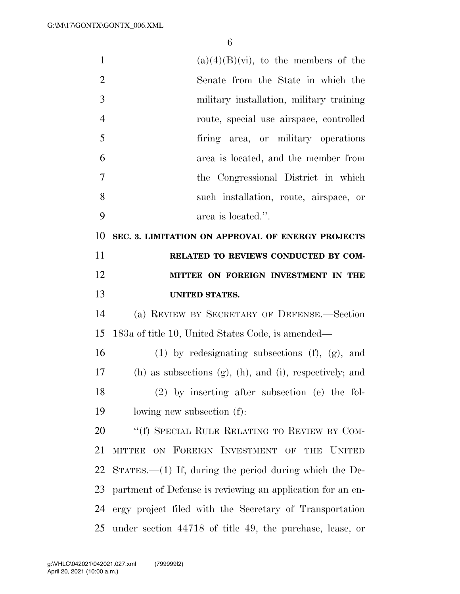| $\mathbf{1}$   | $(a)(4)(B)(vi)$ , to the members of the                            |
|----------------|--------------------------------------------------------------------|
| $\overline{2}$ | Senate from the State in which the                                 |
| 3              | military installation, military training                           |
| $\overline{4}$ | route, special use airspace, controlled                            |
| 5              | firing area, or military operations                                |
| 6              | area is located, and the member from                               |
| 7              | the Congressional District in which                                |
| 8              | such installation, route, airspace, or                             |
| 9              | area is located.".                                                 |
| 10             | SEC. 3. LIMITATION ON APPROVAL OF ENERGY PROJECTS                  |
| 11             | RELATED TO REVIEWS CONDUCTED BY COM-                               |
| 12             | MITTEE ON FOREIGN INVESTMENT IN THE                                |
| 13             | <b>UNITED STATES.</b>                                              |
| 14             | (a) REVIEW BY SECRETARY OF DEFENSE.—Section                        |
| 15             | 183a of title 10, United States Code, is amended—                  |
| 16             | $(1)$ by redesignating subsections $(f)$ , $(g)$ , and             |
| 17             | $(h)$ as subsections $(g)$ , $(h)$ , and $(i)$ , respectively; and |
| 18             | $(2)$ by inserting after subsection (e) the fol-                   |
| 19             | lowing new subsection (f):                                         |
| 20             | "(f) SPECIAL RULE RELATING TO REVIEW BY COM-                       |
| 21             | MITTEE ON FOREIGN INVESTMENT OF THE UNITED                         |
| 22             | $S\text{TATES.}$ (1) If, during the period during which the De-    |
|                |                                                                    |
| 23             | partment of Defense is reviewing an application for an en-         |
| 24             | ergy project filed with the Secretary of Transportation            |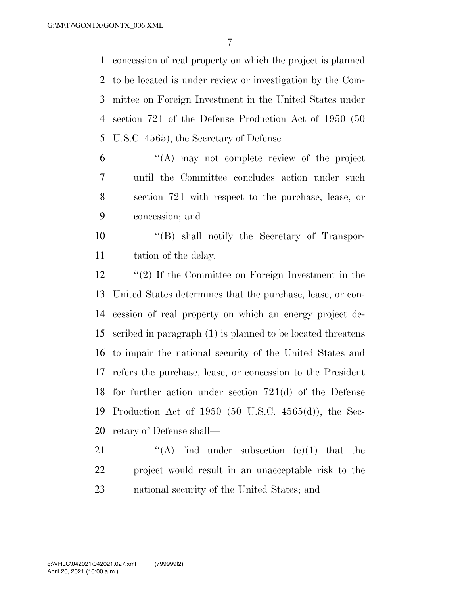concession of real property on which the project is planned to be located is under review or investigation by the Com- mittee on Foreign Investment in the United States under section 721 of the Defense Production Act of 1950 (50 U.S.C. 4565), the Secretary of Defense—

 ''(A) may not complete review of the project until the Committee concludes action under such section 721 with respect to the purchase, lease, or concession; and

 ''(B) shall notify the Secretary of Transpor-11 tation of the delay.

 ''(2) If the Committee on Foreign Investment in the United States determines that the purchase, lease, or con- cession of real property on which an energy project de- scribed in paragraph (1) is planned to be located threatens to impair the national security of the United States and refers the purchase, lease, or concession to the President for further action under section 721(d) of the Defense Production Act of 1950 (50 U.S.C. 4565(d)), the Sec-retary of Defense shall—

21  $\langle A \rangle$  find under subsection (e)(1) that the project would result in an unacceptable risk to the national security of the United States; and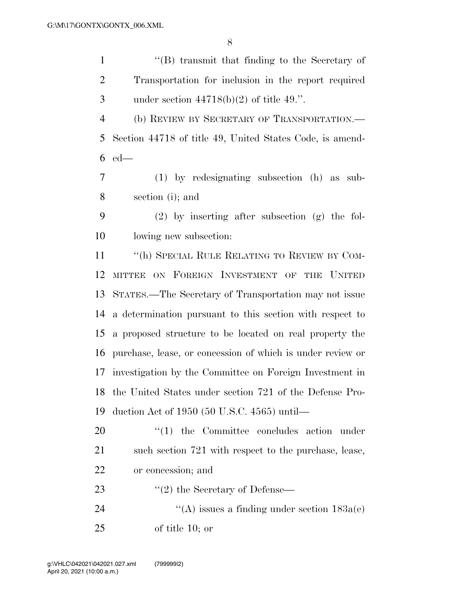| $\mathbf{1}$   | "(B) transmit that finding to the Secretary of             |
|----------------|------------------------------------------------------------|
| $\overline{2}$ | Transportation for inclusion in the report required        |
| 3              | under section $44718(b)(2)$ of title 49.".                 |
| $\overline{4}$ | (b) REVIEW BY SECRETARY OF TRANSPORTATION.—                |
| 5              | Section 44718 of title 49, United States Code, is amend-   |
| 6              | $ed$ —                                                     |
| $\overline{7}$ | $(1)$ by redesignating subsection $(h)$ as<br>sub-         |
| 8              | section (i); and                                           |
| 9              | $(2)$ by inserting after subsection $(g)$ the fol-         |
| 10             | lowing new subsection:                                     |
| 11             | "(h) SPECIAL RULE RELATING TO REVIEW BY COM-               |
| 12             | MITTEE ON FOREIGN INVESTMENT OF THE<br><b>UNITED</b>       |
| 13             | STATES.—The Secretary of Transportation may not issue      |
| 14             | a determination pursuant to this section with respect to   |
| 15             | a proposed structure to be located on real property the    |
| 16             | purchase, lease, or concession of which is under review or |
| 17             | investigation by the Committee on Foreign Investment in    |
| 18             | the United States under section 721 of the Defense Pro-    |
| 19             | duction Act of $1950$ (50 U.S.C. $4565$ ) until—           |
| 20             | $"(1)$ the Committee concludes action under                |
| 21             | such section 721 with respect to the purchase, lease,      |
| 22             | or concession; and                                         |
| 23             | $\cdot\cdot(2)$ the Secretary of Defense—                  |
| 24             | "(A) issues a finding under section $183a(e)$              |
| 25             | of title $10$ ; or                                         |